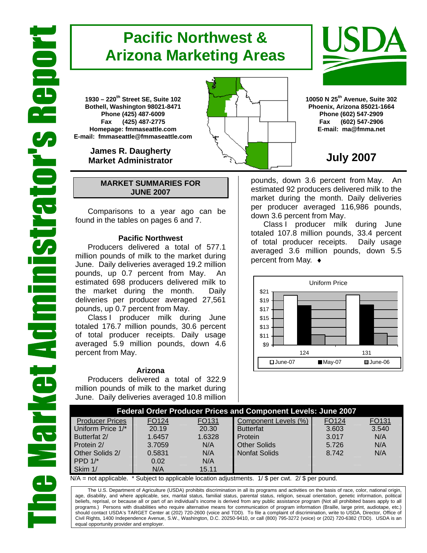# **Pacific Northwest & Arizona Marketing Areas**

**1930 – 220th Street SE, Suite 102 Bothell, Washington 98021-8471 Phone (425) 487-6009 Fax (425) 487-2775 Homepage: fmmaseattle.com E-mail: fmmaseattle@fmmaseattle.com**

> **James R. Daugherty Market Administrator**

### **MARKET SUMMARIES FOR JUNE 2007**

 Comparisons to a year ago can be found in the tables on pages 6 and 7.

### **Pacific Northwest**

Producers delivered a total of 577.1 million pounds of milk to the market during June. Daily deliveries averaged 19.2 million pounds, up 0.7 percent from May. An estimated 698 producers delivered milk to the market during the month. Daily deliveries per producer averaged 27,561 pounds, up 0.7 percent from May.

Class I producer milk during June totaled 176.7 million pounds, 30.6 percent of total producer receipts. Daily usage averaged 5.9 million pounds, down 4.6 percent from May.

#### **Arizona**

Producers delivered a total of 322.9 million pounds of milk to the market during June. Daily deliveries averaged 10.8 million





**10050 N 25th Avenue, Suite 302 Phoenix, Arizona 85021-1664 Phone (602) 547-2909 Fax (602) 547-2906 E-mail: ma@fmma.net**

## **July 2007**

pounds, down 3.6 percent from May. An estimated 92 producers delivered milk to the market during the month. Daily deliveries per producer averaged 116,986 pounds, down 3.6 percent from May.

Class I producer milk during June totaled 107.8 million pounds, 33.4 percent of total producer receipts. Daily usage averaged 3.6 million pounds, down 5.5 percent from May. ♦



| <b>Federal Order Producer Prices and Component Levels: June 2007</b> |                   |        |                      |       |       |  |  |  |  |
|----------------------------------------------------------------------|-------------------|--------|----------------------|-------|-------|--|--|--|--|
| <b>Producer Prices</b>                                               | FO <sub>124</sub> | FO131  | Component Levels (%) | FO124 | FO131 |  |  |  |  |
| Uniform Price 1/*                                                    | 20.19             | 20.30  | <b>Butterfat</b>     | 3.603 | 3.540 |  |  |  |  |
| Butterfat 2/                                                         | 1.6457            | 1.6328 | Protein              | 3.017 | N/A   |  |  |  |  |
| Protein 2/                                                           | 3.7059            | N/A    | <b>Other Solids</b>  | 5.726 | N/A   |  |  |  |  |
| Other Solids 2/                                                      | 0.5831            | N/A    | <b>Nonfat Solids</b> | 8.742 | N/A   |  |  |  |  |
| PPD $1$ <sup>*</sup>                                                 | 0.02              | N/A    |                      |       |       |  |  |  |  |
| Skim 1/                                                              | N/A               | 15.11  |                      |       |       |  |  |  |  |

 $N/A$  = not applicable. \* Subject to applicable location adjustments. 1/ \$ per cwt. 2/ \$ per pound.

The U.S. Department of Agriculture (USDA) prohibits discrimination in all its programs and activities on the basis of race, color, national origin, age, disability, and where applicable, sex, marital status, familial status, parental status, religion, sexual orientation, genetic information, political beliefs, reprisal, or because all or part of an individual's income is derived from any public assistance program (Not all prohibited bases apply to all programs.) Persons with disabilities who require alternative means for communication of program information (Braille, large print, audiotape, etc.) should contact USDA's TARGET Center at (202) 720-2600 (voice and TDD). To file a complaint of discrimination, write to USDA, Director, Office of Civil Rights, 1400 Independence Avenue, S.W., Washington, D.C. 20250-9410, or call (800) 795-3272 (voice) or (202) 720-6382 (TDD). USDA is an equal opportunity provider and employer.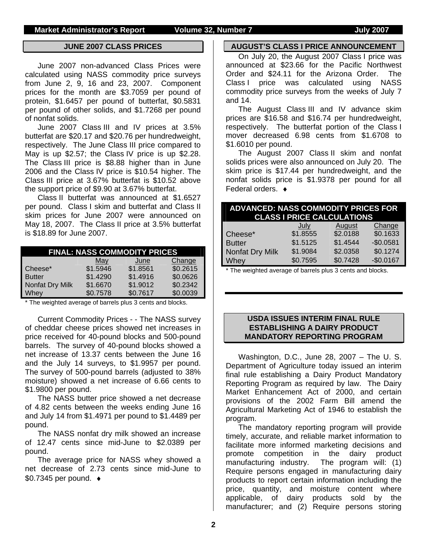#### **JUNE 2007 CLASS PRICES**

June 2007 non-advanced Class Prices were calculated using NASS commodity price surveys from June 2, 9, 16 and 23, 2007. Component prices for the month are \$3.7059 per pound of protein, \$1.6457 per pound of butterfat, \$0.5831 per pound of other solids, and \$1.7268 per pound of nonfat solids.

June 2007 Class III and IV prices at 3.5% butterfat are \$20.17 and \$20.76 per hundredweight, respectively. The June Class III price compared to May is up \$2.57; the Class IV price is up \$2.28. The Class III price is \$8.88 higher than in June 2006 and the Class IV price is \$10.54 higher. The Class III price at 3.67% butterfat is \$10.52 above the support price of \$9.90 at 3.67% butterfat.

Class II butterfat was announced at \$1.6527 per pound. Class I skim and butterfat and Class II skim prices for June 2007 were announced on May 18, 2007. The Class II price at 3.5% butterfat is \$18.89 for June 2007.

| <b>FINAL: NASS COMMODITY PRICES</b> |          |          |          |  |  |  |  |  |
|-------------------------------------|----------|----------|----------|--|--|--|--|--|
| Change<br>June<br>May               |          |          |          |  |  |  |  |  |
| Cheese*                             | \$1.5946 | \$1.8561 | \$0.2615 |  |  |  |  |  |
| <b>Butter</b>                       | \$1.4290 | \$1.4916 | \$0.0626 |  |  |  |  |  |
| Nonfat Dry Milk                     | \$1.6670 | \$1.9012 | \$0.2342 |  |  |  |  |  |
| Whey                                | \$0.7578 | \$0.7617 | \$0.0039 |  |  |  |  |  |

\* The weighted average of barrels plus 3 cents and blocks.

Current Commodity Prices - - The NASS survey of cheddar cheese prices showed net increases in price received for 40-pound blocks and 500-pound barrels. The survey of 40-pound blocks showed a net increase of 13.37 cents between the June 16 and the July 14 surveys, to \$1.9957 per pound. The survey of 500-pound barrels (adjusted to 38% moisture) showed a net increase of 6.66 cents to \$1.9800 per pound.

The NASS butter price showed a net decrease of 4.82 cents between the weeks ending June 16 and July 14 from \$1.4971 per pound to \$1.4489 per pound.

The NASS nonfat dry milk showed an increase of 12.47 cents since mid-June to \$2.0389 per pound.

The average price for NASS whey showed a net decrease of 2.73 cents since mid-June to \$0.7345 per pound. ♦

#### **AUGUST'S CLASS I PRICE ANNOUNCEMENT**

On July 20, the August 2007 Class I price was announced at \$23.66 for the Pacific Northwest Order and \$24.11 for the Arizona Order. The Class I price was calculated using NASS commodity price surveys from the weeks of July 7 and 14.

The August Class III and IV advance skim prices are \$16.58 and \$16.74 per hundredweight, respectively. The butterfat portion of the Class I mover decreased 6.98 cents from \$1.6708 to \$1.6010 per pound.

The August 2007 Class II skim and nonfat solids prices were also announced on July 20. The skim price is \$17.44 per hundredweight, and the nonfat solids price is \$1.9378 per pound for all Federal orders. ♦

| <b>ADVANCED: NASS COMMODITY PRICES FOR</b><br><b>CLASS I PRICE CALCULATIONS</b> |          |          |            |  |  |  |
|---------------------------------------------------------------------------------|----------|----------|------------|--|--|--|
|                                                                                 | July     | August   | Change     |  |  |  |
| Cheese*                                                                         | \$1.8555 | \$2.0188 | \$0.1633   |  |  |  |
| <b>Butter</b>                                                                   | \$1.5125 | \$1.4544 | $-$0.0581$ |  |  |  |
| Nonfat Dry Milk                                                                 | \$1.9084 | \$2.0358 | \$0.1274   |  |  |  |
| Whey                                                                            | \$0.7595 | \$0.7428 | $-$0.0167$ |  |  |  |

\* The weighted average of barrels plus 3 cents and blocks.

### **USDA ISSUES INTERIM FINAL RULE ESTABLISHING A DAIRY PRODUCT MANDATORY REPORTING PROGRAM**

Washington, D.C., June 28, 2007 – The U. S. Department of Agriculture today issued an interim final rule establishing a Dairy Product Mandatory Reporting Program as required by law. The Dairy Market Enhancement Act of 2000, and certain provisions of the 2002 Farm Bill amend the Agricultural Marketing Act of 1946 to establish the program.

The mandatory reporting program will provide timely, accurate, and reliable market information to facilitate more informed marketing decisions and promote competition in the dairy product manufacturing industry. The program will: (1) Require persons engaged in manufacturing dairy products to report certain information including the price, quantity, and moisture content where applicable, of dairy products sold by the manufacturer; and (2) Require persons storing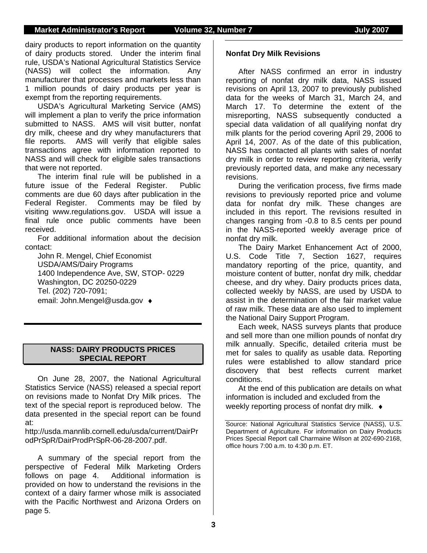dairy products to report information on the quantity of dairy products stored. Under the interim final rule, USDA's National Agricultural Statistics Service (NASS) will collect the information. Any manufacturer that processes and markets less than 1 million pounds of dairy products per year is exempt from the reporting requirements.

USDA's Agricultural Marketing Service (AMS) will implement a plan to verify the price information submitted to NASS. AMS will visit butter, nonfat dry milk, cheese and dry whey manufacturers that file reports. AMS will verify that eligible sales transactions agree with information reported to NASS and will check for eligible sales transactions that were not reported.

The interim final rule will be published in a future issue of the Federal Register. Public comments are due 60 days after publication in the Federal Register. Comments may be filed by visiting www.regulations.gov. USDA will issue a final rule once public comments have been received.

For additional information about the decision contact:

John R. Mengel, Chief Economist USDA/AMS/Dairy Programs 1400 Independence Ave, SW, STOP- 0229 Washington, DC 20250-0229 Tel. (202) 720-7091; email: John.Mengel@usda.gov ♦

### **NASS: DAIRY PRODUCTS PRICES SPECIAL REPORT**

On June 28, 2007, the National Agricultural Statistics Service (NASS) released a special report on revisions made to Nonfat Dry Milk prices. The text of the special report is reproduced below. The data presented in the special report can be found at:

http://usda.mannlib.cornell.edu/usda/current/DairPr odPrSpR/DairProdPrSpR-06-28-2007.pdf.

A summary of the special report from the perspective of Federal Milk Marketing Orders follows on page 4. Additional information is provided on how to understand the revisions in the context of a dairy farmer whose milk is associated with the Pacific Northwest and Arizona Orders on page 5.

### **Nonfat Dry Milk Revisions**

After NASS confirmed an error in industry reporting of nonfat dry milk data, NASS issued revisions on April 13, 2007 to previously published data for the weeks of March 31, March 24, and March 17. To determine the extent of the misreporting, NASS subsequently conducted a special data validation of all qualifying nonfat dry milk plants for the period covering April 29, 2006 to April 14, 2007. As of the date of this publication, NASS has contacted all plants with sales of nonfat dry milk in order to review reporting criteria, verify previously reported data, and make any necessary revisions.

During the verification process, five firms made revisions to previously reported price and volume data for nonfat dry milk. These changes are included in this report. The revisions resulted in changes ranging from -0.8 to 8.5 cents per pound in the NASS-reported weekly average price of nonfat dry milk.

The Dairy Market Enhancement Act of 2000, U.S. Code Title 7, Section 1627, requires mandatory reporting of the price, quantity, and moisture content of butter, nonfat dry milk, cheddar cheese, and dry whey. Dairy products prices data, collected weekly by NASS, are used by USDA to assist in the determination of the fair market value of raw milk. These data are also used to implement the National Dairy Support Program.

Each week, NASS surveys plants that produce and sell more than one million pounds of nonfat dry milk annually. Specific, detailed criteria must be met for sales to qualify as usable data. Reporting rules were established to allow standard price discovery that best reflects current market conditions.

At the end of this publication are details on what information is included and excluded from the weekly reporting process of nonfat dry milk. ♦

Source: National Agricultural Statistics Service (NASS), U.S. Department of Agriculture. For information on Dairy Products Prices Special Report call Charmaine Wilson at 202-690-2168, office hours 7:00 a.m. to 4:30 p.m. ET.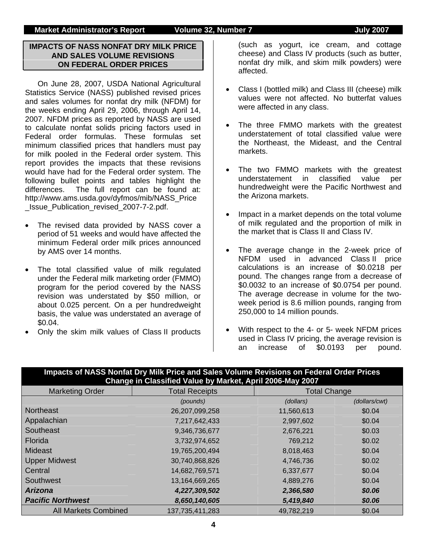**Market Administrator's Report Colume 32, Number 7 Columne 10 Yuly 2007** 

### **IMPACTS OF NASS NONFAT DRY MILK PRICE AND SALES VOLUME REVISIONS ON FEDERAL ORDER PRICES**

On June 28, 2007, USDA National Agricultural Statistics Service (NASS) published revised prices and sales volumes for nonfat dry milk (NFDM) for the weeks ending April 29, 2006, through April 14, 2007. NFDM prices as reported by NASS are used to calculate nonfat solids pricing factors used in Federal order formulas. These formulas set minimum classified prices that handlers must pay for milk pooled in the Federal order system. This report provides the impacts that these revisions would have had for the Federal order system. The following bullet points and tables highlight the differences. The full report can be found at: http://www.ams.usda.gov/dyfmos/mib/NASS\_Price \_Issue\_Publication\_revised\_2007-7-2.pdf.

- The revised data provided by NASS cover a period of 51 weeks and would have affected the minimum Federal order milk prices announced by AMS over 14 months.
- The total classified value of milk regulated under the Federal milk marketing order (FMMO) program for the period covered by the NASS revision was understated by \$50 million, or about 0.025 percent. On a per hundredweight basis, the value was understated an average of \$0.04.
- Only the skim milk values of Class II products

(such as yogurt, ice cream, and cottage cheese) and Class IV products (such as butter, nonfat dry milk, and skim milk powders) were affected.

- Class I (bottled milk) and Class III (cheese) milk values were not affected. No butterfat values were affected in any class.
- The three FMMO markets with the greatest understatement of total classified value were the Northeast, the Mideast, and the Central markets.
- The two FMMO markets with the greatest understatement in classified value per hundredweight were the Pacific Northwest and the Arizona markets.
- Impact in a market depends on the total volume of milk regulated and the proportion of milk in the market that is Class II and Class IV.
- The average change in the 2-week price of NFDM used in advanced Class II price calculations is an increase of \$0.0218 per pound. The changes range from a decrease of \$0.0032 to an increase of \$0.0754 per pound. The average decrease in volume for the twoweek period is 8.6 million pounds, ranging from 250,000 to 14 million pounds.
- With respect to the 4- or 5- week NFDM prices used in Class IV pricing, the average revision is an increase of \$0.0193 per pound.

|                             | Impacts of NASS Nonfat Dry Milk Price and Sales Volume Revisions on Federal Order Prices<br>Change in Classified Value by Market, April 2006-May 2007 |                     |               |  |
|-----------------------------|-------------------------------------------------------------------------------------------------------------------------------------------------------|---------------------|---------------|--|
| <b>Marketing Order</b>      | <b>Total Receipts</b>                                                                                                                                 | <b>Total Change</b> |               |  |
|                             | (pounds)                                                                                                                                              | (dollars)           | (dollars/cwt) |  |
| <b>Northeast</b>            | 26,207,099,258                                                                                                                                        | 11,560,613          | \$0.04        |  |
| Appalachian                 | 7,217,642,433                                                                                                                                         | 2,997,602           | \$0.04        |  |
| Southeast                   | 9,346,736,677                                                                                                                                         | 2,676,221           | \$0.03        |  |
| <b>Florida</b>              | 3,732,974,652                                                                                                                                         | 769,212             | \$0.02        |  |
| <b>Mideast</b>              | 19,765,200,494                                                                                                                                        | 8,018,463           | \$0.04        |  |
| <b>Upper Midwest</b>        | 30,740,868,826                                                                                                                                        | 4,746,736           | \$0.02        |  |
| Central                     | 14,682,769,571                                                                                                                                        | 6,337,677           | \$0.04        |  |
| Southwest                   | 13,164,669,265                                                                                                                                        | 4,889,276           | \$0.04        |  |
| <b>Arizona</b>              | 4,227,309,502                                                                                                                                         | 2,366,580           | \$0.06        |  |
| <b>Pacific Northwest</b>    | 8,650,140,605                                                                                                                                         | 5,419,840           | \$0.06        |  |
| <b>All Markets Combined</b> | 137,735,411,283                                                                                                                                       | 49,782,219          | \$0.04        |  |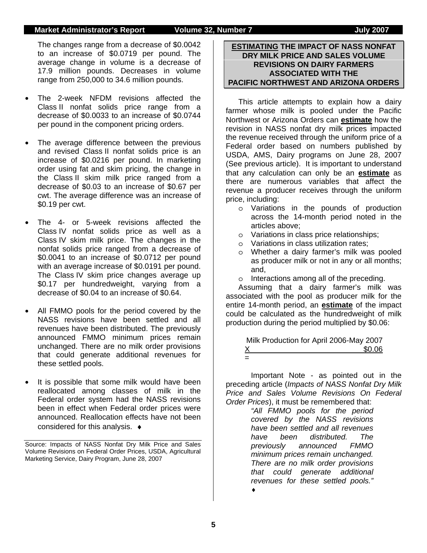#### **Market Administrator's Report Volume 32, Number 7 State 10 Yuly 2007**

The changes range from a decrease of \$0.0042 to an increase of \$0.0719 per pound. The average change in volume is a decrease of 17.9 million pounds. Decreases in volume range from 250,000 to 34.6 million pounds.

- The 2-week NFDM revisions affected the Class II nonfat solids price range from a decrease of \$0.0033 to an increase of \$0.0744 per pound in the component pricing orders.
- The average difference between the previous and revised Class II nonfat solids price is an increase of \$0.0216 per pound. In marketing order using fat and skim pricing, the change in the Class II skim milk price ranged from a decrease of \$0.03 to an increase of \$0.67 per cwt. The average difference was an increase of \$0.19 per cwt.
- The 4- or 5-week revisions affected the Class IV nonfat solids price as well as a Class IV skim milk price. The changes in the nonfat solids price ranged from a decrease of \$0.0041 to an increase of \$0.0712 per pound with an average increase of \$0.0191 per pound. The Class IV skim price changes average up \$0.17 per hundredweight, varying from a decrease of \$0.04 to an increase of \$0.64.
- All FMMO pools for the period covered by the NASS revisions have been settled and all revenues have been distributed. The previously announced FMMO minimum prices remain unchanged. There are no milk order provisions that could generate additional revenues for these settled pools.
- It is possible that some milk would have been reallocated among classes of milk in the Federal order system had the NASS revisions been in effect when Federal order prices were announced. Reallocation effects have not been considered for this analysis. ♦

Source: Impacts of NASS Nonfat Dry Milk Price and Sales Volume Revisions on Federal Order Prices, USDA, Agricultural Marketing Service, Dairy Program, June 28, 2007

### **ESTIMATING THE IMPACT OF NASS NONFAT DRY MILK PRICE AND SALES VOLUME REVISIONS ON DAIRY FARMERS ASSOCIATED WITH THE PACIFIC NORTHWEST AND ARIZONA ORDERS**

 This article attempts to explain how a dairy farmer whose milk is pooled under the Pacific Northwest or Arizona Orders can **estimate** how the revision in NASS nonfat dry milk prices impacted the revenue received through the uniform price of a Federal order based on numbers published by USDA, AMS, Dairy programs on June 28, 2007 (See previous article). It is important to understand that any calculation can only be an **estimate** as there are numerous variables that affect the revenue a producer receives through the uniform price, including:

- o Variations in the pounds of production across the 14-month period noted in the articles above;
- o Variations in class price relationships;
- o Variations in class utilization rates;
- o Whether a dairy farmer's milk was pooled as producer milk or not in any or all months; and,
- o Interactions among all of the preceding.

Assuming that a dairy farmer's milk was associated with the pool as producer milk for the entire 14-month period, an **estimate** of the impact could be calculated as the hundredweight of milk production during the period multiplied by \$0.06:

 Milk Production for April 2006-May 2007  $$0.06$  $\sim$   $\sim$   $=$ 

 Important Note - as pointed out in the preceding article (*Impacts of NASS Nonfat Dry Milk Price and Sales Volume Revisions On Federal Order Prices*), it must be remembered that:

*"All FMMO pools for the period covered by the NASS revisions have been settled and all revenues have been distributed. The previously announced FMMO minimum prices remain unchanged. There are no milk order provisions that could generate additional revenues for these settled pools."*

♦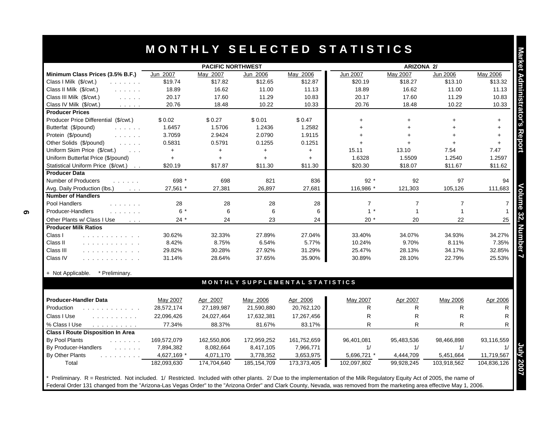|                                                                                                                                                                                                                                                |             | <b>PACIFIC NORTHWEST</b> |               |                                 |                | <b>ARIZONA 2/</b> |                |                      |
|------------------------------------------------------------------------------------------------------------------------------------------------------------------------------------------------------------------------------------------------|-------------|--------------------------|---------------|---------------------------------|----------------|-------------------|----------------|----------------------|
| Minimum Class Prices (3.5% B.F.)                                                                                                                                                                                                               | Jun 2007    | May 2007                 | Jun 2006      | May 2006                        | Jun 2007       | May 2007          | Jun 2006       | May 2006             |
| Class I Milk (\$/cwt.)<br>and a straight                                                                                                                                                                                                       | \$19.74     | \$17.82                  | \$12.65       | \$12.87                         | \$20.19        | \$18.27           | \$13.10        | \$13.32              |
| Class II Milk (\$/cwt.)<br>and a straight                                                                                                                                                                                                      | 18.89       | 16.62                    | 11.00         | 11.13                           | 18.89          | 16.62             | 11.00          | 11.13                |
| Class III Milk (\$/cwt.)<br>and the con-                                                                                                                                                                                                       | 20.17       | 17.60                    | 11.29         | 10.83                           | 20.17          | 17.60             | 11.29          | 10.83                |
| Class IV Milk (\$/cwt.)<br>$\mathcal{L}^{\mathcal{A}}$ , and $\mathcal{L}^{\mathcal{A}}$ , and $\mathcal{L}^{\mathcal{A}}$                                                                                                                     | 20.76       | 18.48                    | 10.22         | 10.33                           | 20.76          | 18.48             | 10.22          | 10.33                |
| <b>Producer Prices</b>                                                                                                                                                                                                                         |             |                          |               |                                 |                |                   |                |                      |
| Producer Price Differential (\$/cwt.)                                                                                                                                                                                                          | \$0.02      | \$0.27                   | \$0.01        | \$0.47                          | $+$            | $+$               |                | $\ddot{\phantom{1}}$ |
| Butterfat (\$/pound)<br>and a series.                                                                                                                                                                                                          | 1.6457      | 1.5706                   | 1.2436        | 1.2582                          |                |                   |                | $\ddot{}$            |
| Protein (\$/pound)<br>and a straight                                                                                                                                                                                                           | 3.7059      | 2.9424                   | 2.0790        | 1.9115                          |                |                   |                | $+$                  |
| Other Solids (\$/pound)<br>$\mathcal{L}^{\mathcal{A}}$ and $\mathcal{L}^{\mathcal{A}}$ and $\mathcal{L}^{\mathcal{A}}$                                                                                                                         | 0.5831      | 0.5791                   | 0.1255        | 0.1251                          |                |                   |                | $+$                  |
| Uniform Skim Price (\$/cwt.)<br>$\sim 100$ km $^{-1}$                                                                                                                                                                                          | $+$         | $+$                      | $+$           | $+$                             | 15.11          | 13.10             | 7.54           | 7.47                 |
| Uniform Butterfat Price (\$/pound)                                                                                                                                                                                                             | $\ddot{}$   | $+$                      | $+$           | $+$                             | 1.6328         | 1.5509            | 1.2540         | 1.2597               |
| Statistical Uniform Price (\$/cwt.)                                                                                                                                                                                                            | \$20.19     | \$17.87                  | \$11.30       | \$11.30                         | \$20.30        | \$18.07           | \$11.67        | \$11.62              |
| <b>Producer Data</b>                                                                                                                                                                                                                           |             |                          |               |                                 |                |                   |                |                      |
| Number of Producers<br>.                                                                                                                                                                                                                       | 698 *       | 698                      | 821           | 836                             | $92*$          | 92                | 97             | 94                   |
| Avg. Daily Production (lbs.)<br>$\sim 100$ km $^{-1}$                                                                                                                                                                                          | 27,561 *    | 27,381                   | 26,897        | 27,681                          | 116,986 *      | 121,303           | 105,126        | 111,683              |
| <b>Number of Handlers</b>                                                                                                                                                                                                                      |             |                          |               |                                 |                |                   |                |                      |
| Pool Handlers<br>and a strain and                                                                                                                                                                                                              | 28          | 28                       | 28            | 28                              | $\overline{7}$ | $\overline{7}$    | $\overline{7}$ |                      |
| Producer-Handlers<br>and a strain and                                                                                                                                                                                                          | $6*$        | 6                        | 6             | 6                               | $1 *$          | $\overline{1}$    | $\mathbf{1}$   |                      |
| Other Plants w/ Class I Use<br>$\sim 100$ km s $^{-1}$                                                                                                                                                                                         | $24*$       | 24                       | 23            | 24                              | $20*$          | 20                | 22             | 25                   |
| <b>Producer Milk Ratios</b>                                                                                                                                                                                                                    |             |                          |               |                                 |                |                   |                |                      |
| Class I<br>.                                                                                                                                                                                                                                   | 30.62%      | 32.33%                   | 27.89%        | 27.04%                          | 33.40%         | 34.07%            | 34.93%         | 34.27%               |
| Class II<br>$\mathcal{L}$ . The set of the set of the set of the set of the set of the set of the set of the set of the set of the set of the set of the set of the set of the set of the set of the set of the set of the set of the set of t | 8.42%       | 8.75%                    | 6.54%         | 5.77%                           | 10.24%         | 9.70%             | 8.11%          | 7.35%                |
| Class III<br>.                                                                                                                                                                                                                                 | 29.82%      | 30.28%                   | 27.92%        | 31.29%                          | 25.47%         | 28.13%            | 34.17%         | 32.85%               |
| Class IV<br>and a complete control of the second service                                                                                                                                                                                       | 31.14%      | 28.64%                   | 37.65%        | 35.90%                          | 30.89%         | 28.10%            | 22.79%         | 25.53%               |
| + Not Applicable. * Preliminary.                                                                                                                                                                                                               |             |                          |               |                                 |                |                   |                |                      |
|                                                                                                                                                                                                                                                |             |                          |               | MONTHLY SUPPLEMENTAL STATISTICS |                |                   |                |                      |
| <b>Producer-Handler Data</b>                                                                                                                                                                                                                   | May 2007    | Apr 2007                 | May 2006      | Apr 2006                        | May 2007       | Apr 2007          | May 2006       | Apr 2006             |
| Production<br><u>.</u>                                                                                                                                                                                                                         | 28,572,174  | 27,189,987               | 21,590,880    | 20,762,120                      | R.             | R                 | R.             |                      |
| Class I Use<br>and and and analysis                                                                                                                                                                                                            | 22,096,426  | 24,027,464               | 17,632,381    | 17,267,456                      | $\mathsf{R}$   | R                 | $\mathsf{R}$   |                      |
| % Class I Use<br>and a contract of the state of the                                                                                                                                                                                            | 77.34%      | 88.37%                   | 81.67%        | 83.17%                          | $\mathsf{R}$   | R                 | R              |                      |
| <b>Class I Route Disposition In Area</b>                                                                                                                                                                                                       |             |                          |               |                                 |                |                   |                |                      |
| By Pool Plants<br>$\mathcal{L}$ is a set of $\mathcal{L}$ .                                                                                                                                                                                    | 169,572,079 | 162,550,806              | 172,959,252   | 161,752,659                     | 96,401,081     | 95,483,536        | 98,466,898     | 93,116,559           |
| By Producer-Handlers<br>and a state of the state                                                                                                                                                                                               | 7,894,382   | 8,082,664                | 8,417,105     | 7,966,771                       | 1/             | 1/                | 1/             |                      |
| By Other Plants                                                                                                                                                                                                                                | 4,627,169 * | 4,071,170                | 3,778,352     | 3,653,975                       | 5,696,721 *    | 4,444,709         | 5,451,664      | 11,719,567           |
| Total                                                                                                                                                                                                                                          | 182,093,630 | 174,704,640              | 185, 154, 709 | 173,373,405                     | 102,097,802    | 99,928,245        | 103,918,562    | 104,836,126          |

Preliminary. R = Restricted. Not included. 1/ Restricted. Included with other plants. 2/ Due to the implementation of the Milk Regulatory Equity Act of 2005, the name of Federal Order 131 changed from the "Arizona-Las Vegas Order" to the "Arizona Order" and Clark County, Nevada, was removed from the marketing area effective May 1, 2006.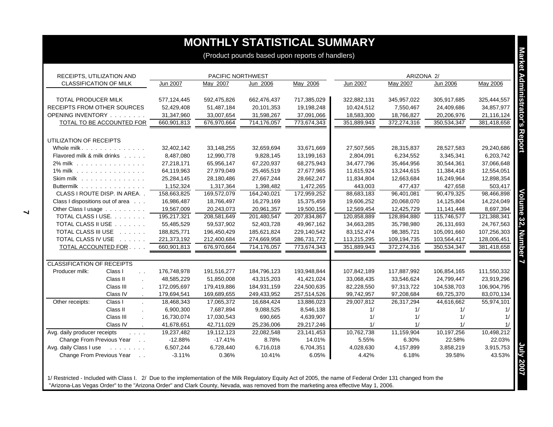|                                            |                                 |             |                   |             | (Product pounds based upon reports of handlers) |             |             |             |             |
|--------------------------------------------|---------------------------------|-------------|-------------------|-------------|-------------------------------------------------|-------------|-------------|-------------|-------------|
| RECEIPTS, UTILIZATION AND                  |                                 |             | PACIFIC NORTHWEST |             |                                                 |             | ARIZONA 2/  |             |             |
| <b>CLASSIFICATION OF MILK</b>              |                                 | Jun 2007    | May 2007          | Jun 2006    | May 2006                                        | Jun 2007    | May 2007    | Jun 2006    | May 2006    |
| TOTAL PRODUCER MILK                        |                                 | 577,124,445 | 592,475,826       | 662,476,437 | 717,385,029                                     | 322,882,131 | 345,957,022 | 305,917,685 | 325,444,557 |
| <b>RECEIPTS FROM OTHER SOURCES</b>         |                                 | 52,429,408  | 51,487,184        | 20,101,353  | 19,198,248                                      | 10,424,512  | 7,550,467   | 24,409,686  | 34,857,977  |
| OPENING INVENTORY                          |                                 | 31,347,960  | 33,007,654        | 31,598,267  | 37,091,066                                      | 18,583,300  | 18,766,827  | 20,206,976  | 21,116,124  |
| TOTAL TO BE ACCOUNTED FOR                  |                                 | 660,901,813 | 676,970,664       | 714,176,057 | 773,674,343                                     | 351,889,943 | 372,274,316 | 350,534,347 | 381,418,658 |
| UTILIZATION OF RECEIPTS                    |                                 |             |                   |             |                                                 |             |             |             |             |
| Whole milk.                                |                                 | 32,402,142  | 33,148,255        | 32,659,694  | 33,671,669                                      | 27,507,565  | 28,315,837  | 28,527,583  | 29,240,686  |
| Flavored milk & milk drinks                |                                 | 8,487,080   | 12,990,778        | 9,828,145   | 13,199,163                                      | 2,804,091   | 6,234,552   | 3,345,341   | 6,203,742   |
| 2% milk                                    |                                 | 27,218,171  | 65,956,147        | 67,220,937  | 68,275,943                                      | 34,477,796  | 35,464,956  | 30,544,361  | 37,066,648  |
| 1% milk                                    |                                 | 64,119,963  | 27,979,049        | 25,465,519  | 27,677,965                                      | 11,615,924  | 13,244,615  | 11,384,418  | 12,554,051  |
| Skim milk                                  |                                 | 25,284,145  | 28,180,486        | 27,667,244  | 28,662,247                                      | 11,834,804  | 12,663,684  | 16,249,964  | 12,898,354  |
| Buttermilk                                 |                                 | 1,152,324   | 1,317,364         | 1,398,482   | 1,472,265                                       | 443,003     | 477,437     | 427,658     | 503,417     |
| CLASS I ROUTE DISP. IN AREA                |                                 | 158,663,825 | 169,572,079       | 164,240,021 | 172,959,252                                     | 88,683,183  | 96,401,081  | 90,479,325  | 98,466,898  |
| Class I dispositions out of area           |                                 | 16,986,487  | 18,766,497        | 16,279,169  | 15,375,459                                      | 19,606,252  | 20,068,070  | 14,125,804  | 14,224,049  |
| Other Class I usage                        |                                 | 19,567,009  | 20,243,073        | 20,961,357  | 19,500,156                                      | 12,569,454  | 12,425,729  | 11,141,448  | 8,697,394   |
| TOTAL CLASS I USE.                         |                                 | 195,217,321 | 208,581,649       | 201,480,547 | 207,834,867                                     | 120,858,889 | 128,894,880 | 115,746,577 | 121,388,341 |
| TOTAL CLASS II USE                         |                                 | 55,485,529  | 59,537,902        | 52,403,728  | 49,967,162                                      | 34,663,285  | 35,798,980  | 26,131,693  | 24,767,563  |
| TOTAL CLASS III USE                        |                                 | 188,825,771 | 196,450,429       | 185,621,824 | 229,140,542                                     | 83,152,474  | 98,385,721  | 105,091,660 | 107,256,303 |
| TOTAL CLASS IV USE                         |                                 | 221,373,192 | 212,400,684       | 274,669,958 | 286,731,772                                     | 113,215,295 | 109,194,735 | 103,564,417 | 128,006,451 |
| TOTAL ACCOUNTED FOR                        |                                 | 660,901,813 | 676,970,664       | 714,176,057 | 773,674,343                                     | 351,889,943 | 372,274,316 | 350,534,347 | 381,418,658 |
| <b>CLASSIFICATION OF RECEIPTS</b>          |                                 |             |                   |             |                                                 |             |             |             |             |
| Producer milk:                             | Class I<br>$\ddot{\phantom{a}}$ | 176,748,978 | 191,516,277       | 184,796,123 | 193,948,844                                     | 107,842,189 | 117,887,992 | 106,854,165 | 111,550,332 |
|                                            | Class II<br>$\overline{a}$      | 48,585,229  | 51,850,008        | 43,315,203  | 41,421,024                                      | 33,068,435  | 33,546,624  | 24,799,447  | 23,919,296  |
|                                            | Class III                       | 172,095,697 | 179,419,886       | 184,931,159 | 224,500,635                                     | 82,228,550  | 97,313,722  | 104,538,703 | 106,904,795 |
|                                            | Class IV                        | 179,694,541 | 169,689,655       | 249,433,952 | 257,514,526                                     | 99,742,957  | 97,208,684  | 69,725,370  | 83,070,134  |
| Other receipts:                            | Class I<br>$\mathbf{r}$         | 18,468,343  | 17,065,372        | 16,684,424  | 13,886,023                                      | 29,007,812  | 26,317,294  | 44,616,662  | 55,974,101  |
|                                            | Class II                        | 6,900,300   | 7,687,894         | 9,088,525   | 8,546,138                                       | 1/          | 1/          | 1/          |             |
|                                            | Class III                       | 16,730,074  | 17,030,543        | 690,665     | 4,639,907                                       | 1/          | 1/          | 1/          |             |
|                                            | Class IV                        | 41,678,651  | 42,711,029        | 25,236,006  | 29,217,246                                      | 1/          | 1/          | 1/          |             |
| Avg. daily producer receipts<br>1.1111     |                                 | 19,237,482  | 19,112,123        | 22,082,548  | 23,141,453                                      | 10,762,738  | 11,159,904  | 10,197,256  | 10,498,212  |
| Change From Previous Year                  |                                 | $-12.88%$   | $-17.41%$         | 8.78%       | 14.01%                                          | 5.55%       | 6.30%       | 22.58%      | 22.03%      |
| Avg. daily Class I use                     |                                 | 6,507,244   | 6,728,440         | 6,716,018   | 6,704,351                                       | 4,028,630   | 4,157,899   | 3,858,219   | 3,915,753   |
| Change From Previous Year<br>$\sim$ $\sim$ |                                 | $-3.11%$    | 0.36%             | 10.41%      | 6.05%                                           | 4.42%       | 6.18%       | 39.58%      | 43.53%      |

1/ Restricted - Included with Class I. 2/ Due to the implementation of the Milk Regulatory Equity Act of 2005, the name of Federal Order 131 changed from the "Arizona-Las Vegas Order" to the "Arizona Order" and Clark County, Nevada, was removed from the marketing area effective May 1, 2006.